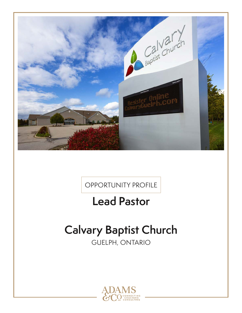

OPPORTUNITY PROFILE

## **Lead Pastor**

# **Calvary Baptist Church**

GUELPH, ONTARIO

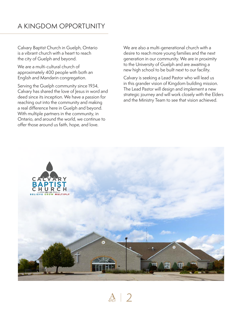Calvary Baptist Church in Guelph, Ontario is a vibrant church with a heart to reach the city of Guelph and beyond.

We are a multi-cultural church of approximately 400 people with both an English and Mandarin congregation.

Serving the Guelph community since 1934, Calvary has shared the love of Jesus in word and deed since its inception. We have a passion for reaching out into the community and making a real difference here in Guelph and beyond. With multiple partners in the community, in Ontario, and around the world, we continue to offer those around us faith, hope, and love.

We are also a multi-generational church with a desire to reach more young families and the next generation in our community. We are in proximity to the University of Guelph and are awaiting a new high school to be built next to our facility.

Calvary is seeking a Lead Pastor who will lead us in this grander vision of Kingdom building mission. The Lead Pastor will design and implement a new strategic journey and will work closely with the Elders and the Ministry Team to see that vision achieved.



 $\frac{A}{2}$  | 2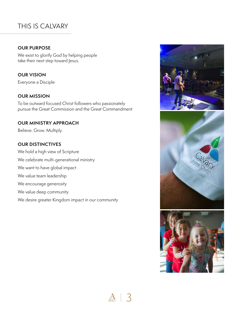## THIS IS CALVARY

#### **OUR PURPOSE**

We exist to glorify God by helping people take their next step toward Jesus.

**OUR VISION**

Everyone a Disciple

#### **OUR MISSION**

To be outward focused Christ followers who passionately pursue the Great Commission and the Great Commandment

#### **OUR MINISTRY APPROACH**

Believe. Grow. Multiply.

#### **OUR DISTINCTIVES**

We hold a high view of Scripture We celebrate multi-generational ministry We want to have global impact We value team leadership We encourage generosity We value deep community

We desire greater Kingdom impact in our community





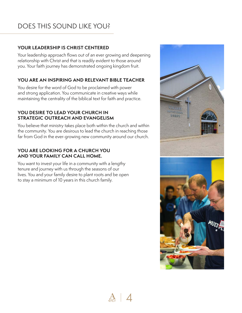## DOES THIS SOUND LIKE YOU?

#### **YOUR LEADERSHIP IS CHRIST CENTERED**

Your leadership approach flows out of an ever growing and deepening relationship with Christ and that is readily evident to those around you. Your faith journey has demonstrated ongoing kingdom fruit.

#### **YOU ARE AN INSPIRING AND RELEVANT BIBLE TEACHER**

You desire for the word of God to be proclaimed with power and strong application. You communicate in creative ways while maintaining the centrality of the biblical text for faith and practice.

#### **YOU DESIRE TO LEAD YOUR CHURCH IN STRATEGIC OUTREACH AND EVANGELISM**

You believe that ministry takes place both within the church and within the community. You are desirous to lead the church in reaching those far from God in the ever-growing new community around our church.

#### **YOU ARE LOOKING FOR A CHURCH YOU AND YOUR FAMILY CAN CALL HOME.**

You want to invest your life in a community with a lengthy tenure and journey with us through the seasons of our lives. You and your family desire to plant roots and be open to stay a minimum of 10 years in this church family.



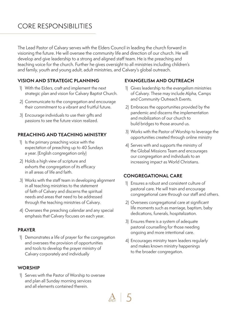## CORE RESPONSIBILITIES

The Lead Pastor of Calvary serves with the Elders Council in leading the church forward in visioning the future. He will oversee the community life and direction of our church. He will develop and give leadership to a strong and aligned staff team. He is the preaching and teaching voice for the church. Further he gives oversight to all ministries including children's and family, youth and young adult, adult ministries, and Calvary's global outreach.

#### **VISION AND STRATEGIC PLANNING**

- 1) With the Elders, craft and implement the next strategic plan and vision for Calvary Baptist Church.
- 2) Communicate to the congregation and encourage their commitment to a vibrant and fruitful future.
- 3) Encourage individuals to use their gifts and passions to see the future vision realized.

#### **PREACHING AND TEACHING MINISTRY**

- 1) Is the primary preaching voice with the expectation of preaching up to 40 Sundays a year. (English congregation only)
- 2) Holds a high view of scripture and exhorts the congregation of its efficacy in all areas of life and faith.
- 3) Works with the staff team in developing alignment in all teaching ministries to the statement of faith of Calvary and discerns the spiritual needs and areas that need to be addressed through the teaching ministries of Calvary.
- 4) Oversees the preaching calendar and any special emphasis that Calvary focuses on each year.

#### **PRAYER**

1) Demonstrates a life of prayer for the congregation and oversees the provision of opportunities and tools to develop the prayer ministry of Calvary corporately and individually

#### **WORSHIP**

1) Serves with the Pastor of Worship to oversee and plan all Sunday morning services and all elements contained therein.

#### **EVANGELISM AND OUTREACH**

- 1) Gives leadership to the evangelism ministries of Calvary. These may include Alpha, Camps and Community Outreach Events.
- 2) Embraces the opportunities provided by the pandemic and discerns the implementation and mobilization of our church to build bridges to those around us.
- 3) Works with the Pastor of Worship to leverage the opportunities created through online ministry
- 4) Serves with and supports the ministry of the Global Missions Team and encourages our congregation and individuals to an increasing impact as World Christians.

#### **CONGREGATIONAL CARE**

- 1) Ensures a robust and consistent culture of pastoral care. He will train and encourage congregational care through our staff and others.
- 2) Oversees congregational care at significant life moments such as marriage, baptism, baby dedications, funerals, hospitalization.
- 3) Ensures there is a system of adequate pastoral counselling for those needing ongoing and more intentional care.
- 4) Encourages ministry team leaders regularly and makes known ministry happenings to the broader congregation.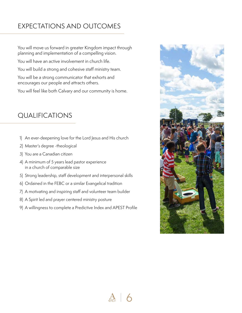## EXPECTATIONS AND OUTCOMES

You will move us forward in greater Kingdom impact through planning and implementation of a compelling vision.

You will have an active involvement in church life.

You will build a strong and cohesive staff ministry team.

You will be a strong communicator that exhorts and encourages our people and attracts others.

You will feel like both Calvary and our community is home.

### QUALIFICATIONS

- 1) An ever-deepening love for the Lord Jesus and His church
- 2) Master's degree -theological
- 3) You are a Canadian citizen
- 4) A minimum of 5 years lead pastor experience in a church of comparable size
- 5) Strong leadership, staff development and interpersonal skills
- 6) Ordained in the FEBC or a similar Evangelical tradition
- 7) A motivating and inspiring staff and volunteer team builder
- 8) A Spirit led and prayer centered ministry posture
- 9) A willingness to complete a Predictive Index and APEST Profile